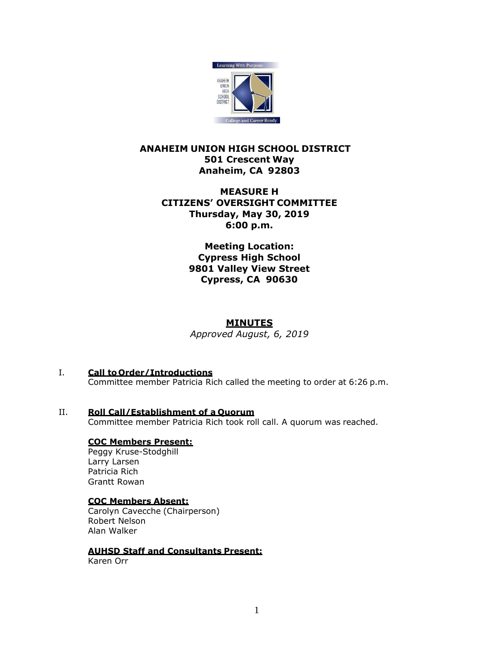

# **ANAHEIM UNION HIGH SCHOOL DISTRICT 501 Crescent Way Anaheim, CA 92803**

# **MEASURE H CITIZENS' OVERSIGHT COMMITTEE Thursday, May 30, 2019 6:00 p.m.**

**Meeting Location: Cypress High School 9801 Valley View Street Cypress, CA 90630**

## **MINUTES**

*Approved August, 6, 2019*

- I. **Call to Order/Introductions**
	- Committee member Patricia Rich called the meeting to order at 6:26 p.m.
- II. **Roll Call/Establishment of a Quorum** Committee member Patricia Rich took roll call. A quorum was reached.

### **COC Members Present:**

Peggy Kruse-Stodghill Larry Larsen Patricia Rich Grantt Rowan

#### **COC Members Absent:**

Carolyn Cavecche (Chairperson) Robert Nelson Alan Walker

**AUHSD Staff and Consultants Present:**

Karen Orr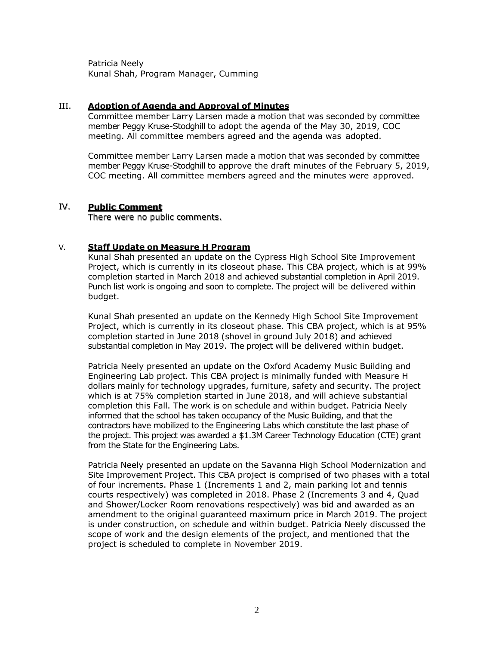Patricia Neely Kunal Shah, Program Manager, Cumming

#### III. **Adoption of Agenda and Approval of Minutes**

Committee member Larry Larsen made a motion that was seconded by committee member Peggy Kruse-Stodghill to adopt the agenda of the May 30, 2019, COC meeting. All committee members agreed and the agenda was adopted.

Committee member Larry Larsen made a motion that was seconded by committee member Peggy Kruse-Stodghill to approve the draft minutes of the February 5, 2019, COC meeting. All committee members agreed and the minutes were approved.

#### IV. **Public Comment**

There were no public comments.

### V. **Staff Update on Measure H Program**

Kunal Shah presented an update on the Cypress High School Site Improvement Project, which is currently in its closeout phase. This CBA project, which is at 99% completion started in March 2018 and achieved substantial completion in April 2019. Punch list work is ongoing and soon to complete. The project will be delivered within budget.

Kunal Shah presented an update on the Kennedy High School Site Improvement Project, which is currently in its closeout phase. This CBA project, which is at 95% completion started in June 2018 (shovel in ground July 2018) and achieved substantial completion in May 2019. The project will be delivered within budget.

Patricia Neely presented an update on the Oxford Academy Music Building and Engineering Lab project. This CBA project is minimally funded with Measure H dollars mainly for technology upgrades, furniture, safety and security. The project which is at 75% completion started in June 2018, and will achieve substantial completion this Fall. The work is on schedule and within budget. Patricia Neely informed that the school has taken occupancy of the Music Building, and that the contractors have mobilized to the Engineering Labs which constitute the last phase of the project. This project was awarded a \$1.3M Career Technology Education (CTE) grant from the State for the Engineering Labs.

Patricia Neely presented an update on the Savanna High School Modernization and Site Improvement Project. This CBA project is comprised of two phases with a total of four increments. Phase 1 (Increments 1 and 2, main parking lot and tennis courts respectively) was completed in 2018. Phase 2 (Increments 3 and 4, Quad and Shower/Locker Room renovations respectively) was bid and awarded as an amendment to the original guaranteed maximum price in March 2019. The project is under construction, on schedule and within budget. Patricia Neely discussed the scope of work and the design elements of the project, and mentioned that the project is scheduled to complete in November 2019.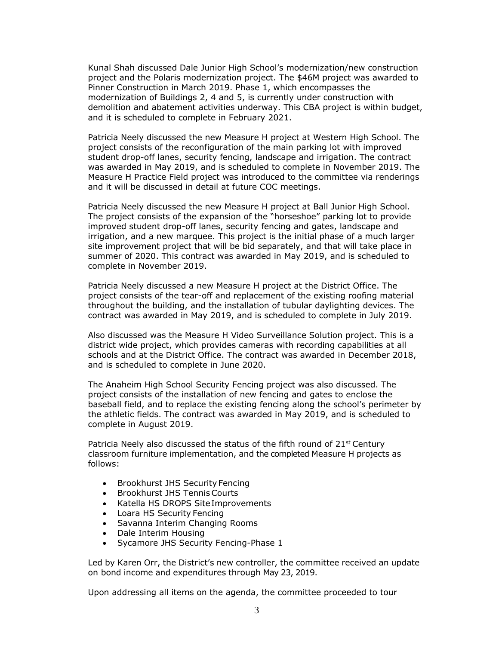Kunal Shah discussed Dale Junior High School's modernization/new construction project and the Polaris modernization project. The \$46M project was awarded to Pinner Construction in March 2019. Phase 1, which encompasses the modernization of Buildings 2, 4 and 5, is currently under construction with demolition and abatement activities underway. This CBA project is within budget, and it is scheduled to complete in February 2021.

Patricia Neely discussed the new Measure H project at Western High School. The project consists of the reconfiguration of the main parking lot with improved student drop-off lanes, security fencing, landscape and irrigation. The contract was awarded in May 2019, and is scheduled to complete in November 2019. The Measure H Practice Field project was introduced to the committee via renderings and it will be discussed in detail at future COC meetings.

Patricia Neely discussed the new Measure H project at Ball Junior High School. The project consists of the expansion of the "horseshoe" parking lot to provide improved student drop-off lanes, security fencing and gates, landscape and irrigation, and a new marquee. This project is the initial phase of a much larger site improvement project that will be bid separately, and that will take place in summer of 2020. This contract was awarded in May 2019, and is scheduled to complete in November 2019.

Patricia Neely discussed a new Measure H project at the District Office. The project consists of the tear-off and replacement of the existing roofing material throughout the building, and the installation of tubular daylighting devices. The contract was awarded in May 2019, and is scheduled to complete in July 2019.

Also discussed was the Measure H Video Surveillance Solution project. This is a district wide project, which provides cameras with recording capabilities at all schools and at the District Office. The contract was awarded in December 2018, and is scheduled to complete in June 2020.

The Anaheim High School Security Fencing project was also discussed. The project consists of the installation of new fencing and gates to enclose the baseball field, and to replace the existing fencing along the school's perimeter by the athletic fields. The contract was awarded in May 2019, and is scheduled to complete in August 2019.

Patricia Neely also discussed the status of the fifth round of 21<sup>st</sup> Century classroom furniture implementation, and the completed Measure H projects as follows:

- Brookhurst JHS Security Fencing
- Brookhurst JHS Tennis Courts
- Katella HS DROPS Site Improvements
- Loara HS Security Fencing
- Savanna Interim Changing Rooms
- Dale Interim Housing
- Sycamore JHS Security Fencing-Phase 1

Led by Karen Orr, the District's new controller, the committee received an update on bond income and expenditures through May 23, 2019.

Upon addressing all items on the agenda, the committee proceeded to tour